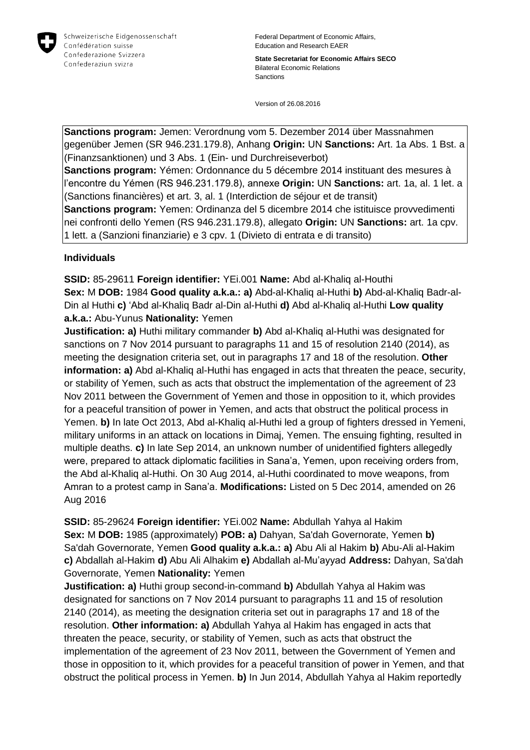

Federal Department of Economic Affairs, Education and Research EAER

**State Secretariat for Economic Affairs SECO** Bilateral Economic Relations Sanctions

Version of 26.08.2016

**Sanctions program:** Jemen: Verordnung vom 5. Dezember 2014 über Massnahmen gegenüber Jemen (SR 946.231.179.8), Anhang **Origin:** UN **Sanctions:** Art. 1a Abs. 1 Bst. a (Finanzsanktionen) und 3 Abs. 1 (Ein- und Durchreiseverbot) **Sanctions program:** Yémen: Ordonnance du 5 décembre 2014 instituant des mesures à l'encontre du Yémen (RS 946.231.179.8), annexe **Origin:** UN **Sanctions:** art. 1a, al. 1 let. a (Sanctions financières) et art. 3, al. 1 (Interdiction de séjour et de transit) **Sanctions program:** Yemen: Ordinanza del 5 dicembre 2014 che istituisce provvedimenti nei confronti dello Yemen (RS 946.231.179.8), allegato **Origin:** UN **Sanctions:** art. 1a cpv. 1 lett. a (Sanzioni finanziarie) e 3 cpv. 1 (Divieto di entrata e di transito)

## **Individuals**

**SSID:** 85-29611 **Foreign identifier:** YEi.001 **Name:** Abd al-Khaliq al-Houthi **Sex:** M **DOB:** 1984 **Good quality a.k.a.: a)** Abd-al-Khaliq al-Huthi **b)** Abd-al-Khaliq Badr-al-Din al Huthi **c)** 'Abd al-Khaliq Badr al-Din al-Huthi **d)** Abd al-Khaliq al-Huthi **Low quality a.k.a.:** Abu-Yunus **Nationality:** Yemen

**Justification: a)** Huthi military commander **b)** Abd al-Khaliq al-Huthi was designated for sanctions on 7 Nov 2014 pursuant to paragraphs 11 and 15 of resolution 2140 (2014), as meeting the designation criteria set, out in paragraphs 17 and 18 of the resolution. **Other information: a)** Abd al-Khaliq al-Huthi has engaged in acts that threaten the peace, security, or stability of Yemen, such as acts that obstruct the implementation of the agreement of 23 Nov 2011 between the Government of Yemen and those in opposition to it, which provides for a peaceful transition of power in Yemen, and acts that obstruct the political process in Yemen. **b)** In late Oct 2013, Abd al-Khaliq al-Huthi led a group of fighters dressed in Yemeni, military uniforms in an attack on locations in Dimaj, Yemen. The ensuing fighting, resulted in multiple deaths. **c)** In late Sep 2014, an unknown number of unidentified fighters allegedly were, prepared to attack diplomatic facilities in Sana'a, Yemen, upon receiving orders from, the Abd al-Khaliq al-Huthi. On 30 Aug 2014, al-Huthi coordinated to move weapons, from Amran to a protest camp in Sana'a. **Modifications:** Listed on 5 Dec 2014, amended on 26 Aug 2016

**SSID:** 85-29624 **Foreign identifier:** YEi.002 **Name:** Abdullah Yahya al Hakim **Sex:** M **DOB:** 1985 (approximately) **POB: a)** Dahyan, Sa'dah Governorate, Yemen **b)**  Sa'dah Governorate, Yemen **Good quality a.k.a.: a)** Abu Ali al Hakim **b)** Abu-Ali al-Hakim **c)** Abdallah al-Hakim **d)** Abu Ali Alhakim **e)** Abdallah al-Mu'ayyad **Address:** Dahyan, Sa'dah Governorate, Yemen **Nationality:** Yemen

**Justification: a)** Huthi group second-in-command **b)** Abdullah Yahya al Hakim was designated for sanctions on 7 Nov 2014 pursuant to paragraphs 11 and 15 of resolution 2140 (2014), as meeting the designation criteria set out in paragraphs 17 and 18 of the resolution. **Other information: a)** Abdullah Yahya al Hakim has engaged in acts that threaten the peace, security, or stability of Yemen, such as acts that obstruct the implementation of the agreement of 23 Nov 2011, between the Government of Yemen and those in opposition to it, which provides for a peaceful transition of power in Yemen, and that obstruct the political process in Yemen. **b)** In Jun 2014, Abdullah Yahya al Hakim reportedly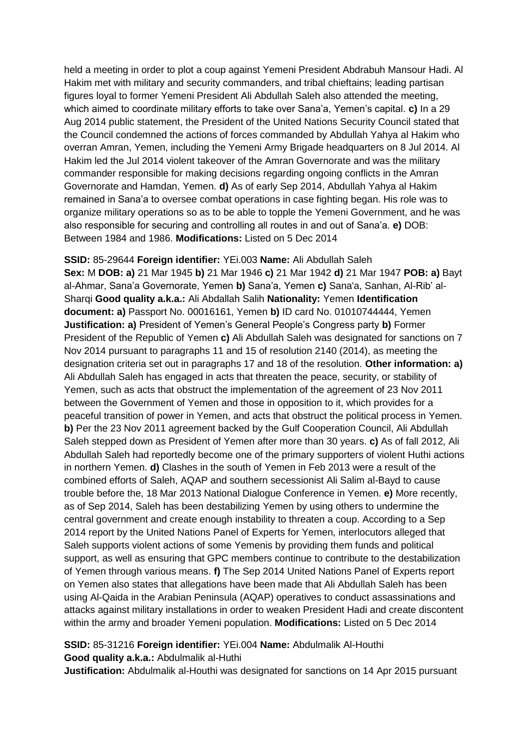held a meeting in order to plot a coup against Yemeni President Abdrabuh Mansour Hadi. Al Hakim met with military and security commanders, and tribal chieftains; leading partisan figures loyal to former Yemeni President Ali Abdullah Saleh also attended the meeting, which aimed to coordinate military efforts to take over Sana'a, Yemen's capital. **c)** In a 29 Aug 2014 public statement, the President of the United Nations Security Council stated that the Council condemned the actions of forces commanded by Abdullah Yahya al Hakim who overran Amran, Yemen, including the Yemeni Army Brigade headquarters on 8 Jul 2014. Al Hakim led the Jul 2014 violent takeover of the Amran Governorate and was the military commander responsible for making decisions regarding ongoing conflicts in the Amran Governorate and Hamdan, Yemen. **d)** As of early Sep 2014, Abdullah Yahya al Hakim remained in Sana'a to oversee combat operations in case fighting began. His role was to organize military operations so as to be able to topple the Yemeni Government, and he was also responsible for securing and controlling all routes in and out of Sana'a. **e)** DOB: Between 1984 and 1986. **Modifications:** Listed on 5 Dec 2014

**SSID:** 85-29644 **Foreign identifier:** YEi.003 **Name:** Ali Abdullah Saleh **Sex:** M **DOB: a)** 21 Mar 1945 **b)** 21 Mar 1946 **c)** 21 Mar 1942 **d)** 21 Mar 1947 **POB: a)** Bayt al-Ahmar, Sana'a Governorate, Yemen **b)** Sana'a, Yemen **c)** Sana'a, Sanhan, Al-Rib' al-Sharqi **Good quality a.k.a.:** Ali Abdallah Salih **Nationality:** Yemen **Identification document: a)** Passport No. 00016161, Yemen **b)** ID card No. 01010744444, Yemen **Justification: a)** President of Yemen's General People's Congress party **b)** Former President of the Republic of Yemen **c)** Ali Abdullah Saleh was designated for sanctions on 7 Nov 2014 pursuant to paragraphs 11 and 15 of resolution 2140 (2014), as meeting the designation criteria set out in paragraphs 17 and 18 of the resolution. **Other information: a)**  Ali Abdullah Saleh has engaged in acts that threaten the peace, security, or stability of Yemen, such as acts that obstruct the implementation of the agreement of 23 Nov 2011 between the Government of Yemen and those in opposition to it, which provides for a peaceful transition of power in Yemen, and acts that obstruct the political process in Yemen. **b)** Per the 23 Nov 2011 agreement backed by the Gulf Cooperation Council, Ali Abdullah Saleh stepped down as President of Yemen after more than 30 years. **c)** As of fall 2012, Ali Abdullah Saleh had reportedly become one of the primary supporters of violent Huthi actions in northern Yemen. **d)** Clashes in the south of Yemen in Feb 2013 were a result of the combined efforts of Saleh, AQAP and southern secessionist Ali Salim al-Bayd to cause trouble before the, 18 Mar 2013 National Dialogue Conference in Yemen. **e)** More recently, as of Sep 2014, Saleh has been destabilizing Yemen by using others to undermine the central government and create enough instability to threaten a coup. According to a Sep 2014 report by the United Nations Panel of Experts for Yemen, interlocutors alleged that Saleh supports violent actions of some Yemenis by providing them funds and political support, as well as ensuring that GPC members continue to contribute to the destabilization of Yemen through various means. **f)** The Sep 2014 United Nations Panel of Experts report on Yemen also states that allegations have been made that Ali Abdullah Saleh has been using Al-Qaida in the Arabian Peninsula (AQAP) operatives to conduct assassinations and attacks against military installations in order to weaken President Hadi and create discontent within the army and broader Yemeni population. **Modifications:** Listed on 5 Dec 2014

**SSID:** 85-31216 **Foreign identifier:** YEi.004 **Name:** Abdulmalik Al-Houthi **Good quality a.k.a.:** Abdulmalik al-Huthi

**Justification:** Abdulmalik al-Houthi was designated for sanctions on 14 Apr 2015 pursuant